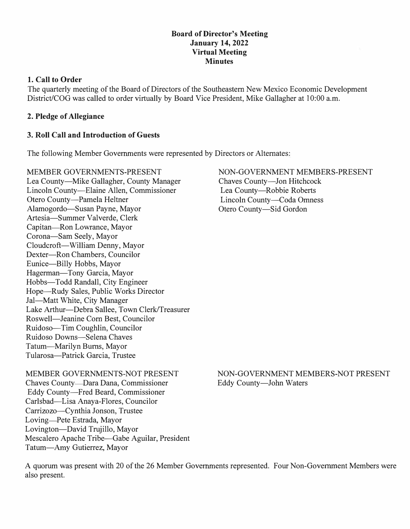### **Board of Director's Meeting January 14, 2022 Virtual Meeting Minutes**

# **1. Call to Order**

The quarterly meeting of the Board of Directors of the Southeastern New Mexico Economic Development District/COG was called to order virtually by Board Vice President, Mike Gallagher at 10:00 a.m.

# **2. Pledge of Allegiance**

# **3. Roll Call and Introduction of Guests**

The following Member Governments were represented by Directors or Alternates:

MEMBER GOVERNMENTS-PRESENT Lea County-Mike Gallagher, County Manager Lincoln County-Elaine Allen, Commissioner Otero County-Pamela Heltner Alamogordo-Susan Payne, Mayor Artesia-Summer Valverde, Clerk Capitan-Ron Lowrance, Mayor Corona-Sam Seely, Mayor Cloudcroft-William Denny, Mayor Dexter-Ron Chambers, Councilor Eunice-Billy Hobbs, Mayor Hagerman-Tony Garcia, Mayor Hobbs-Todd Randall, City Engineer Hope-Rudy Sales, Public Works Director Jal-Matt White, City Manager Lake Arthur--Debra Sallee, Town Clerk/Treasurer Roswell-Jeanine Corn Best, Councilor Ruidoso-Tim Coughlin, Councilor Ruidoso Downs-Selena Chaves Tatum-Marilyn Bums, Mayor Tularosa-Patrick Garcia, Trustee

NON-GOVERNMENT MEMBERS-PRESENT Chaves County-Jon Hitchcock Lea County-Robbie Roberts Lincoln County-Coda Omness Otero County-Sid Gordon

# MEMBER GOVERNMENTS-NOT PRESENT

Chaves County-Dara Dana, Commissioner Eddy County-Fred Beard, Commissioner Carlsbad-Lisa Anaya-Flores, Councilor Carrizozo-Cynthia Jonson, Trustee Loving-Pete Estrada, Mayor Lovington-David Trujillo, Mayor Mescalero Apache Tribe-Gabe Aguilar, President Tatum-Amy Gutierrez, Mayor

# NON-GOVERNMENT MEMBERS-NOT PRESENT Eddy County-John Waters

A quorum was present with 20 of the 26 Member Governments represented. Four Non-Government Members were also present.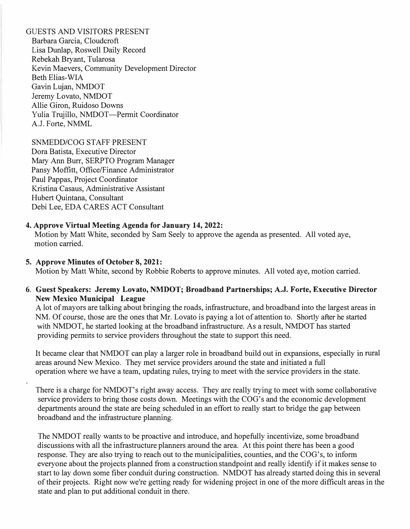GUESTS AND VISITORS PRESENT Barbara Garcia, Cloudcroft Lisa Dunlap, Roswell Daily Record Rebekah Bryant, Tularosa Kevin Maevers, Community Development Director Beth Elias-WIA Gavin Lujan, NMDOT Jeremy Lovato, NMDOT Allie Giron, Ruidoso Downs Yulia Trujillo, NMDOT-Permit Coordinator A.J. Forte, NMML

SNMEDD/COG STAFF PRESENT Dora Batista, Executive Director Mary Ann Burr, SERPTO Program Manager Pansy Moffitt, Office/Finance Administrator Paul Pappas, Project Coordinator Kristina Casaus, Administrative Assistant Hubert Quintana, Consultant Debi Lee, EDA CARES ACT Consultant

### **4. Approve Virtual Meeting Agenda for January 14, 2022:**

Motion by Matt White, seconded by Sam Seely to approve the agenda as presented. All voted aye, motion carried.

#### **5. Approve Minutes of October 8, 2021:**

Motion by Matt White, second by Robbie Roberts to approve minutes. All voted aye, motion carried.

### **6. Guest Speakers: Jeremy Lovato, NMDOT; Broadband Partnerships; A.J. Forte, Executive Director New Mexico Municipal League**

A lot of mayors are talking about bringing the roads, infrastructure, and broadband into the largest areas in NM. Of course, those are the ones that Mr. Lovato is paying a lot of attention to. Shortly after he started with NMDOT, he started looking at the broadband infrastructure. As a result, NMDOT has started providing permits to service providers throughout the state to support this need.

It became clear that NMDOT can play a larger role in broadband build out in expansions, especially in rural areas around New Mexico. They met service providers around the state and initiated a full operation where we have a team, updating rules, trying to meet with the service providers in the state.

There is a charge for NMDOT's right away access. They are really trying to meet with some collaborative service providers to bring those costs down. Meetings with the COG's and the economic development departments around the state are being scheduled in an effort to really start to bridge the gap between broadband and the infrastructure planning.

The NMDOT really wants to be proactive and introduce, and hopefully incentivize, some broadband discussions with all the infrastructure planners around the area. At this point there has been a good response. They are also trying to reach out to the municipalities, counties, and the COG's, to inform everyone about the projects planned from a construction standpoint and really identify if it makes sense to start to lay down some fiber conduit during construction. NMDOT has already started doing this in several of their projects. Right now we're getting ready for widening project in one of the more difficult areas in the state and plan to put additional conduit in there.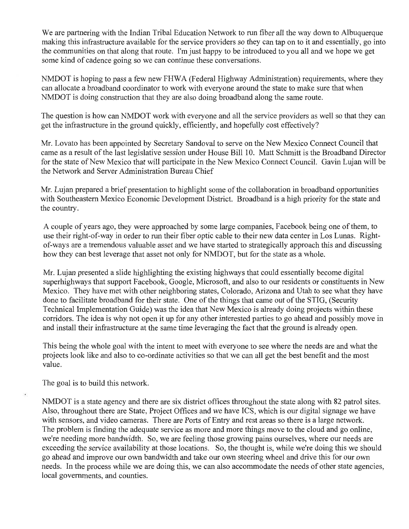We are partnering with the Indian Tribal Education Network to run fiber all the way down to Albuquerque making this infrastructure available for the service providers so they can tap on to it and essentially, go into the communities on that along that route. I'm just happy to be introduced to you all and we hope we get some kind of cadence going so we can continue these conversations.

NMDOT is hoping to pass a few new FHWA (Federal Highway Administration) requirements, where they can allocate a broadband coordinator to work with everyone around the state to make sure that when NMDOT is doing construction that they are also doing broadband along the same route.

The question is how can NMDOT work with everyone and all the service providers as well so that they can get the infrastructure in the ground quickly, efficiently, and hopefully cost effectively?

Mr. Lovato has been appointed by Secretary Sandoval to serve on the New Mexico Connect Council that came as a result of the last legislative session under House Bill 10. Matt Schmitt is the Broadband Director for the state of New Mexico that will participate in the New Mexico Connect Council. Gavin Lujan will be the Network and Server Administration Bureau Chief

Mr. Lujan prepared a brief presentation to highlight some of the collaboration in broadband opportunities with Southeastern Mexico Economic Development District. Broadband is a high priority for the state and the country.

A couple of years ago, they were approached by some large companies, Facebook being one of them, to use their right-of-way in order to run their fiber optic cable to their new data center in Los Lunas. Rightof-ways are a tremendous valuable asset and we have started to strategically approach this and discussing how they can best leverage that asset not only for NMDOT, but for the state as a whole.

Mr. Lujan presented a slide highlighting the existing highways that could essentially become digital superhighways that support Facebook, Google, Microsoft, and also to our residents or constituents in New Mexico. They have met with other neighboring states, Colorado, Arizona and Utah to see what they have done to facilitate broadband for their state. One of the things that came out of the STIG, (Security Technical Implementation Guide) was the idea that New Mexico is already doing projects within these corridors. The idea is why not open it up for any other interested parties to go ahead and possibly move in and install their infrastructure at the same time leveraging the fact that the ground is already open.

This being the whole goal with the intent to meet with everyone to see where the needs are and what the projects look like and also to co-ordinate activities so that we can all get the best benefit and the most value.

The goal is to build this network.

NMDOT is a state agency and there are six district offices throughout the state along with 82 patrol sites. Also, throughout there are State, Project Offices and we have ICS, which is our digital signage we have with sensors, and video cameras. There are Ports of Entry and rest areas so there is a large network. The problem is finding the adequate service as more and more things move to the cloud and go online, we're needing more bandwidth. So, we are feeling those growing pains ourselves, where our needs are exceeding the service availability at those locations. So, the thought is, while we're doing this we should go ahead and improve our own bandwidth and take our own steering wheel and drive this for our own needs. In the process while we are doing this, we can also accommodate the needs of other state agencies, local governments, and counties.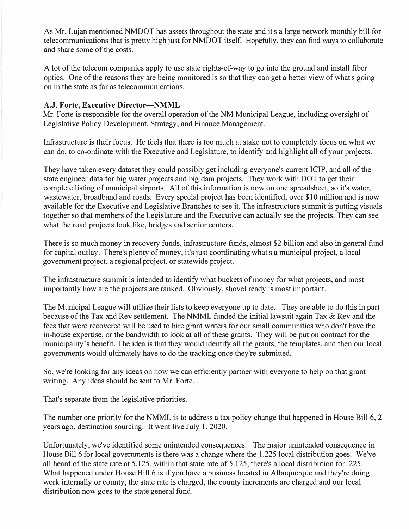As Mr. Lujan mentioned NMDOT has assets throughout the state and it's a large network monthly bill for telecommunications that is pretty high just for NMDOT itself. Hopefully, they can find ways to collaborate and share some of the costs.

A lot of the telecom companies apply to use state rights-of-way to go into the ground and install fiber optics. One of the reasons they are being monitored is so that they can get a better view of what's going on in the state as far as telecommunications.

# **A.J. Forte, Executive Director-NMML**

Mr. Forte is responsible for the overall operation of the NM Municipal League, including oversight of Legislative Policy Development, Strategy, and Finance Management.

Infrastructure is their focus. He feels that there is too much at stake not to completely focus on what we can do, to co-ordinate with the Executive and Legislature, to identify and highlight all of your projects.

They have taken every dataset they could possibly get including everyone's current ICIP, and all of the state engineer data for big water projects and big dam projects. They work with DOT to get their complete listing of municipal airports. All of this information is now on one spreadsheet, so it's water, wastewater, broadband and roads. Every special project has been identified, over \$10 million and is now available for the Executive and Legislative Branches to see it. The infrastructure summit is putting visuals together so that members of the Legislature and the Executive can actually see the projects. They can see what the road projects look like, bridges and senior centers.

There is so much money in recovery funds, infrastructure funds, almost \$2 billion and also in general fund for capital outlay. There's plenty of money, it's just coordinating what's a municipal project, a local government project, a regional project, or statewide project.

The infrastructure summit is intended to identify what buckets of money for what projects, and most importantly how are the projects are ranked. Obviously, shovel ready is most important.

The Municipal League will utilize their lists to keep everyone up to date. They are able to do this in part because of the Tax and Rev settlement. The NMML funded the initial lawsuit again Tax & Rev and the fees that were recovered will be used to hire grant writers for our small communities who don't have the in-house expertise, or the bandwidth to look at all of these grants. They will be put on contract for the municipality's benefit. The idea is that they would identify all the grants, the templates, and then our local governments would ultimately have to do the tracking once they're submitted.

So, we're looking for any ideas on how we can efficiently partner with everyone to help on that grant writing. Any ideas should be sent to Mr. Forte.

That's separate from the legislative priorities.

The number one priority for the NMML is to address a tax policy change that happened in House Bill 6, 2 years ago, destination sourcing. It went live July 1, 2020.

Unfortunately, we've identified some unintended consequences. The major unintended consequence in House Bill 6 for local governments is there was a change where the 1.225 local distribution goes. We've all heard of the state rate at 5.125, within that state rate of 5.125, there's a local distribution for .225. What happened under House Bill 6 is if you have a business located in Albuquerque and they're doing work internally or county, the state rate is charged, the county increments are charged and our local distribution now goes to the state general fund.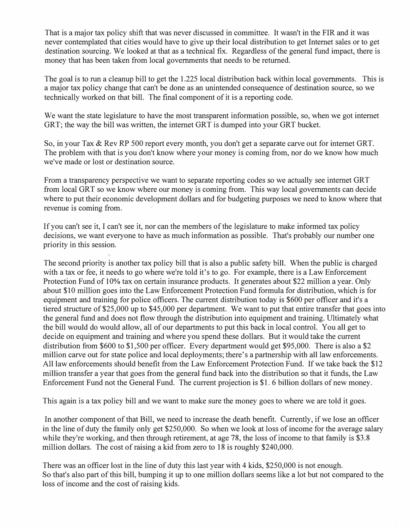That is a major tax policy shift that was never discussed in committee. It wasn't in the FIR and it was never contemplated that cities would have to give up their local distribution to get Internet sales or to get destination sourcing. We looked at that as a technical fix. Regardless of the general fund impact, there is money that has been taken from local governments that needs to be returned.

The goal is to run a cleanup bill to get the 1.225 local distribution back within local governments. This is a major tax policy change that can't be done as an unintended consequence of destination source, so we technically worked on that bill. The final component of it is a reporting code.

We want the state legislature to have the most transparent information possible, so, when we got internet GRT; the way the bill was written, the internet GRT is dumped into your GRT bucket.

So, in your Tax & Rev RP 500 report every month, you don't get a separate carve out for internet GRT. The problem with that is you don't know where your money is coming from, nor do we know how much we've made or lost or destination source.

From a transparency perspective we want to separate reporting codes so we actually see internet GRT from local GRT so we know where our money is coming from. This way local governments can decide where to put their economic development dollars and for budgeting purposes we need to know where that revenue is coming from.

If you can't see it, I can't see it, nor can the members of the legislature to make informed tax policy decisions, we want everyone to have as much information as possible. That's probably our number one priority in this session.

The second priority is another tax policy bill that is also a public safety bill. When the public is charged with a tax or fee, it needs to go where we're told it's to go. For example, there is a Law Enforcement Protection Fund of 10% tax on certain insurance products. It generates about \$22 million a year. Only about \$10 million goes into the Law Enforcement Protection Fund formula for distribution, which is for equipment and training for police officers. The current distribution today is \$600 per officer and it's a tiered structure of \$25,000 up to \$45,000 per department. We want to put that entire transfer that goes into the general fund and does not flow through the distribution into equipment and training. Ultimately what the bill would do would allow, all of our departments to put this back in local control. You all get to decide on equipment and training and where you spend these dollars. But it would take the current distribution from \$600 to \$1,500 per officer. Every department would get \$95,000. There is also a \$2 million carve out for state police and local deployments; there's a partnership with all law enforcements. All law enforcements should benefit from the Law Enforcement Protection Fund. If we take back the \$12 million transfer a year that goes from the general fund back into the distribution so that it funds, the Law Enforcement Fund not the General Fund. The current projection is \$1. 6 billion dollars of new money.

This again is a tax policy bill and we want to make sure the money goes to where we are told it goes.

In another component of that Bill, we need to increase the death benefit. Currently, if we lose an officer in the line of duty the family only get \$250,000. So when we look at loss of income for the average salary while they're working, and then through retirement, at age 78, the loss of income to that family is \$3.8 million dollars. The cost of raising a kid from zero to 18 is roughly \$240,000.

There was an officer lost in the line of duty this last year with 4 kids, \$250,000 is not enough. So that's also part of this bill, bumping it up to one million dollars seems like a lot but not compared to the loss of income and the cost of raising kids.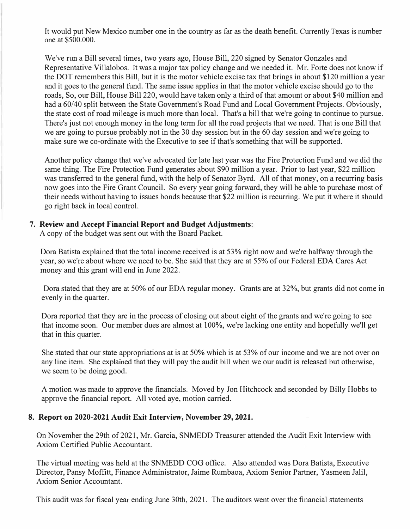It would put New Mexico number one in the country as far as the death benefit. Currently Texas is number one at \$500.000.

We've run a Bill several times, two years ago, House Bill, 220 signed by Senator Gonzales and Representative Villalobos. It was a major tax policy change and we needed it. Mr. Forte does not know if the DOT remembers this Bill, but it is the motor vehicle excise tax that brings in about \$120 million a year and it goes to the general fund. The same issue applies in that the motor vehicle excise should go to the roads, So, our Bill, House Bill 220, would have taken only a third of that amount or about \$40 million and had a 60/40 split between the State Government's Road Fund and Local Government Projects. Obviously, the state cost of road mileage is much more than local. That's a bill that we're going to continue to pursue. There's just not enough money in the long term for all the road projects that we need. That is one Bill that we are going to pursue probably not in the 30 day session but in the 60 day session and we're going to make sure we co-ordinate with the Executive to see if that's something that will be supported.

Another policy change that we've advocated for late last year was the Fire Protection Fund and we did the same thing. The Fire Protection Fund generates about \$90 million a year. Prior to last year, \$22 million was transferred to the general fund, with the help of Senator Byrd. All of that money, on a recurring basis now goes into the Fire Grant Council. So every year going forward, they will be able to purchase most of their needs without having to issues bonds because that \$22 million is recurring. We put it where it should go right back in local control.

### **7. Review and Accept Financial Report and Budget Adjustments:**

A copy of the budget was sent out with the Board Packet.

Dora Batista explained that the total income received is at 53% right now and we're halfway through the year, so we're about where we need to be. She said that they are at 55% of our Federal EDA Cares Act money and this grant will end in June 2022.

Dora stated that they are at 50% of our EDA regular money. Grants are at 32%, but grants did not come in evenly in the quarter.

Dora reported that they are in the process of closing out about eight of the grants and we're going to see that income soon. Our member dues are almost at 100%, we're lacking one entity and hopefully we'll get that in this quarter.

She stated that our state appropriations at is at 50% which is at 53% of our income and we are not over on any line item. She explained that they will pay the audit bill when we our audit is released but otherwise, we seem to be doing good.

A motion was made to approve the financials. Moved by Jon Hitchcock and seconded by Billy Hobbs to approve the financial report. All voted aye, motion carried.

### **8. Report on 2020-2021 Audit Exit Interview, November 29, 2021.**

On November the 29th of 2021, Mr. Garcia, SNMEDD Treasurer attended the Audit Exit Interview with Axiom Certified Public Accountant.

The virtual meeting was held at the SNMEDD COG office. Also attended was Dora Batista, Executive Director, Pansy Moffitt, Finance Administrator, Jaime Rumbaoa, Axiom Senior Partner, Yasmeen Jalil, Axiom Senior Accountant.

This audit was for fiscal year ending June 30th, 2021. The auditors went over the financial statements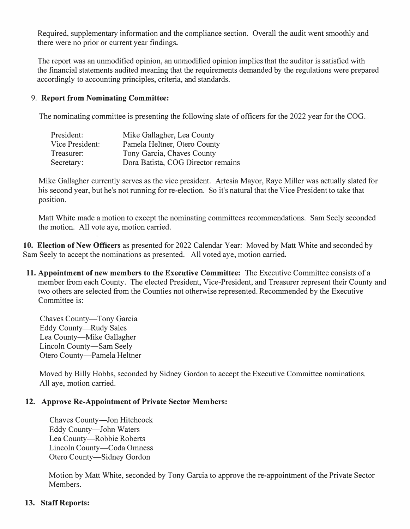Required, supplementary information and the compliance section. Overall the audit went smoothly and there were no prior or current year findings.

The report was an unmodified opinion, an unmodified opinion implies that the auditor is satisfied with the financial statements audited meaning that the requirements demanded by the regulations were prepared accordingly to accounting principles, criteria, and standards.

# 9. **Report from Nominating Committee:**

The nominating committee is presenting the following slate of officers for the 2022 year for the COG.

| President:      | Mike Gallagher, Lea County         |
|-----------------|------------------------------------|
| Vice President: | Pamela Heltner, Otero County       |
| Treasurer:      | Tony Garcia, Chave's County        |
| Secretary:      | Dora Batista, COG Director remains |

Mike Gallagher currently serves as the vice president. Artesia Mayor, Raye Miller was actually slated for his second year, but he's not running for re-election. So it's natural that the Vice President to take that position.

Matt White made a motion to except the nominating committees recommendations. Sam Seely seconded the motion. All vote aye, motion carried.

**10. Election of New Officers** as presented for 2022 Calendar Year: Moved by Matt White and seconded by Sam Seely to accept the nominations as presented. All voted aye, motion carried.

**11. Appointment of new members to the Executive Committee:** The Executive Committee consists of a member from each County. The elected President, Vice-President, and Treasurer represent their County and two others are selected from the Counties not otherwise represented. Recommended by the Executive Committee is:

Chaves County-Tony Garcia Eddy County-Rudy Sales Lea County—Mike Gallagher Lincoln County-Sam Seely Otero County-Pamela Heltner

Moved by Billy Hobbs, seconded by Sidney Gordon to accept the Executive Committee nominations. All aye, motion carried.

# **12. Approve Re-Appointment of Private Sector Members:**

Chaves County-Jon Hitchcock Eddy County-John Waters Lea County-Robbie Roberts Lincoln County-Coda Omness Otero County-Sidney Gordon

Motion by Matt White, seconded by Tony Garcia to approve the re-appointment of the Private Sector Members.

# **13. Staff Reports:**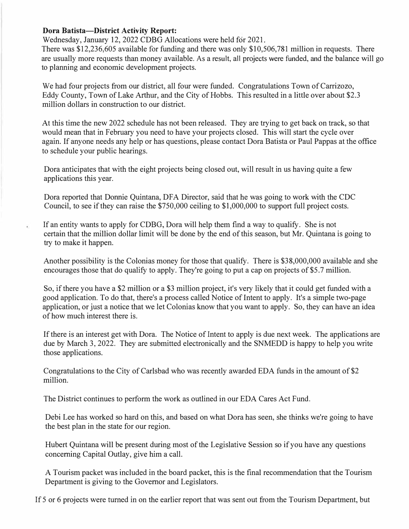### **Dora Batista-District Activity Report:**

Wednesday, January 12, 2022 CDBG Allocations were held for 2021.

There was \$12,236,605 available for funding and there was only \$10,506,781 million in requests. There are usually more requests than money available. As a result, all projects were funded, and the balance will go to planning and economic development projects.

We had four projects from our district, all four were funded. Congratulations Town of Carrizozo, Eddy County, Town of Lake Arthur, and the City of Hobbs. This resulted in a little over about \$2.3 million dollars in construction to our district.

At this time the new 2022 schedule has not been released. They are trying to get back on track, so that would mean that in February you need to have your projects closed. This will start the cycle over again. If anyone needs any help or has questions, please contact Dora Batista or Paul Pappas at the office to schedule your public hearings.

Dora anticipates that with the eight projects being closed out, will result in us having quite a few applications this year.

Dora reported that Donnie Quintana, DFA Director, said that he was going to work with the CDC Council, to see if they can raise the \$750,000 ceiling to \$1,000,000 to support full project costs.

If an entity wants to apply for CDBG, Dora will help them find a way to qualify. She is not certain that the million dollar limit will be done by the end of this season, but Mr. Quintana is going to try to make it happen.

Another possibility is the Colonias money for those that qualify. There is \$38,000,000 available and she encourages those that do qualify to apply. They're going to put a cap on projects of \$5.7 million.

So, if there you have a \$2 million or a \$3 million project, it's very likely that it could get funded with a good application. To do that, there's a process called Notice of Intent to apply. It's a simple two-page application, or just a notice that we let Colonias know that you want to apply. So, they can have an idea of how much interest there is.

If there is an interest get with Dora. The Notice of Intent to apply is due next week. The applications are due by March 3, 2022. They are submitted electronically and the SNMEDD is happy to help you write those applications.

Congratulations to the City of Carlsbad who was recently awarded EDA funds in the amount of \$2 million.

The District continues to perform the work as outlined in our EDA Cares Act Fund.

Debi Lee has worked so hard on this, and based on what Dora has seen, she thinks we're going to have the best plan in the state for our region.

Hubert Quintana will be present during most of the Legislative Session so if you have any questions concerning Capital Outlay, give him a call.

A Tourism packet was included in the board packet, this is the final recommendation that the Tourism Department is giving to the Governor and Legislators.

If 5 or 6 projects were turned in on the earlier report that was sent out from the Tourism Department, but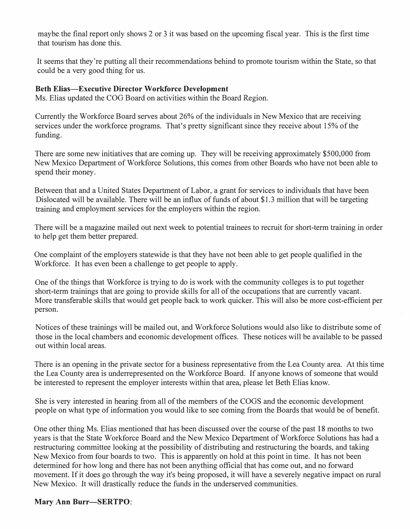maybe the final report only shows 2 or 3 it was based on the upcoming fiscal year. This is the first time that tourism has done this.

It seems that they're putting all their recommendations behind to promote tourism within the State, so that could be a very good thing for us.

### **Beth Elias-Executive Director Workforce Development**

Ms. Elias updated the COG Board on activities within the Board Region.

Currently the Workforce Board serves about 26% of the individuals in New Mexico that are receiving services under the workforce programs. That's pretty significant since they receive about 15% of the funding.

There are some new initiatives that are coming up. They will be receiving approximately \$500,000 from New Mexico Department of Workforce Solutions, this comes from other Boards who have not been able to spend their money.

Between that and a United States Department of Labor, a grant for services to individuals that have been Dislocated will be available. There will be an influx of funds of about \$1.3 million that will be targeting training and employment services for the employers within the region.

There will be a magazine mailed out next week to potential trainees to recruit for short-term training in order to help get them better prepared.

One complaint of the employers statewide is that they have not been able to get people qualified in the Workforce. It has even been a challenge to get people to apply.

One of the things that Workforce is trying to do is work with the community colleges is to put together short-term trainings that are going to provide skills for all of the occupations that are currently vacant. More transferable skills that would get people back to work quicker. This will also be more cost-efficient per person.

Notices of these trainings will be mailed out, and Workforce Solutions would also like to distribute some of those in the local chambers and economic development offices. These notices will be available to be passed out within local areas.

There is an opening in the private sector for a business representative from the Lea County area. At this time the Lea County area is underrepresented on the Workforce Board. If anyone knows of someone that would be interested to represent the employer interests within that area, please let Beth Elias know.

She is very interested in hearing from all of the members of the COGS and the economic development people on what type of information you would like to see coming from the Boards that would be of benefit.

One other thing Ms. Elias mentioned that has been discussed over the course of the past 18 months to two years is that the State Workforce Board and the New Mexico Department of Workforce Solutions has had a restructuring committee looking at the possibility of distributing and restructuring the boards, and taking New Mexico from four boards to two. This is apparently on hold at this point in time. It has not been determined for how long and there has not been anything official that has come out, and no forward movement. If it does go through the way it's being proposed, it will have a severely negative impact on rural New Mexico. It will drastically reduce the funds in the underserved communities.

### **Mary Ann Burr-SERTPO:**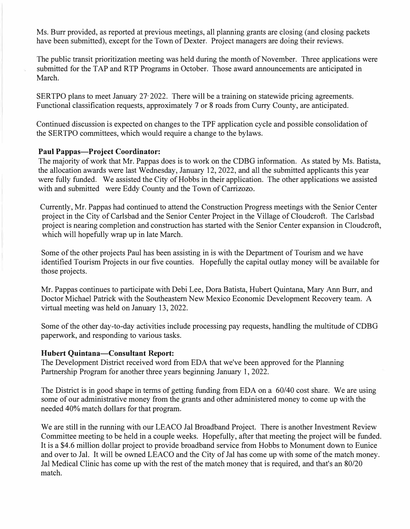Ms. Burr provided, as reported at previous meetings, all planning grants are closing (and closing packets have been submitted), except for the Town of Dexter. Project managers are doing their reviews.

The public transit prioritization meeting was held during the month of November. Three applications were submitted for the TAP and RTP Programs in October. Those award announcements are anticipated in March.

SERTPO plans to meet January 27 2022. There will be a training on statewide pricing agreements. Functional classification requests, approximately 7 or 8 roads from Curry County, are anticipated.

Continued discussion is expected on changes to the TPF application cycle and possible consolidation of the SERTPO committees, which would require a change to the bylaws.

### **Paul Pappas-Project Coordinator:**

The majority of work that Mr. Pappas does is to work on the CDBG information. As stated by Ms. Batista, the allocation awards were last Wednesday, January 12, 2022, and all the submitted applicants this year were fully funded. We assisted the City of Hobbs in their application. The other applications we assisted with and submitted were Eddy County and the Town of Carrizozo.

Currently, Mr. Pappas had continued to attend the Construction Progress meetings with the Senior Center project in the City of Carlsbad and the Senior Center Project in the Village of Cloudcroft. The Carlsbad project is nearing completion and construction has started with the Senior Center expansion in Cloudcroft, which will hopefully wrap up in late March.

Some of the other projects Paul has been assisting in is with the Department of Tourism and we have identified Tourism Projects in our five counties. Hopefully the capital outlay money will be available for those projects.

Mr. Pappas continues to participate with Debi Lee, Dora Batista, Hubert Quintana, Mary Ann Burr, and Doctor Michael Patrick with the Southeastern New Mexico Economic Development Recovery team. A virtual meeting was held on January 13, 2022.

Some of the other day-to-day activities include processing pay requests, handling the multitude of CDBG paperwork, and responding to various tasks.

### **Hubert Quintana-Consultant Report:**

The Development District received word from EDA that we've been approved for the Planning Partnership Program for another three years beginning January 1, 2022.

The District is in good shape in terms of getting funding from EDA on a 60/40 cost share. We are using some of our administrative money from the grants and other administered money to come up with the needed 40% match dollars for that program.

We are still in the running with our LEACO Jal Broadband Project. There is another Investment Review Committee meeting to be held in a couple weeks. Hopefully, after that meeting the project will be funded. It is a \$4.6 million dollar project to provide broadband service from Hobbs to Monument down to Eunice and over to Jal. It will be owned LEACO and the City of Jal has come up with some of the match money. Jal Medical Clinic has come up with the rest of the match money that is required, and that's an 80/20 match.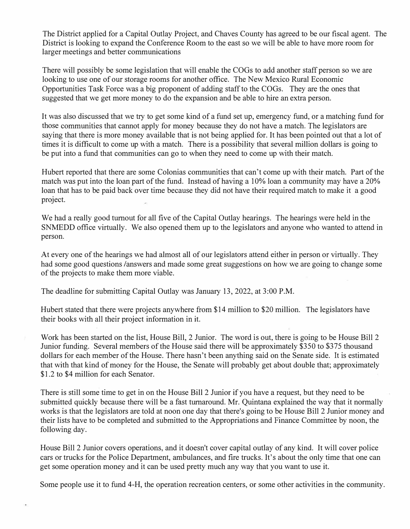The District applied for a Capital Outlay Project, and Chaves County has agreed to be our fiscal agent. The District is looking to expand the Conference Room to the east so we will be able to have more room for larger meetings and better communications

There will possibly be some legislation that will enable the COGs to add another staff person so we are looking to use one of our storage rooms for another office. The New Mexico Rural Economic Opportunities Task Force was a big proponent of adding staff to the COGs. They are the ones that suggested that we get more money to do the expansion and be able to hire an extra person.

It was also discussed that we try to get some kind of a fund set up, emergency fund, or a matching fund for those communities that cannot apply for money because they do not have a match. The legislators are saying that there is more money available that is not being applied for. It has been pointed out that a lot of times it is difficult to come up with a match. There is a possibility that several million dollars is going to be put into a fund that communities can go to when they need to come up with their match.

Hubert reported that there are some Colonias communities that can't come up with their match. Part of the match was put into the loan part of the fund. Instead of having a 10% loan a community may have a 20% loan that has to be paid back over time because they did not have their required match to make it a good project.

We had a really good turnout for all five of the Capital Outlay hearings. The hearings were held in the SNMEDD office virtually. We also opened them up to the legislators and anyone who wanted to attend in person.

At every one of the hearings we had almost all of our legislators attend either in person or virtually. They had some good questions /answers and made some great suggestions on how we are going to change some of the projects to make them more viable.

The deadline for submitting Capital Outlay was January 13, 2022, at 3:00 P.M.

Hubert stated that there were projects anywhere from \$14 million to \$20 million. The legislators have their books with all their project information in it.

Work has been started on the list, House Bill, 2 Junior. The word is out, there is going to be House Bill 2 Junior funding. Several members of the House said there will be approximately \$350 to \$375 thousand dollars for each member of the House. There hasn't been anything said on the Senate side. It is estimated that with that kind of money for the House, the Senate will probably get about double that; approximately \$1.2 to \$4 million for each Senator.

There is still some time to get in on the House Bill 2 Junior if you have a request, but they need to be submitted quickly because there will be a fast turnaround. Mr. Quintana explained the way that it normally works is that the legislators are told at noon one day that there's going to be House Bill 2 Junior money and their lists have to be completed and submitted to the Appropriations and Finance Committee by noon, the following day.

House Bill 2 Junior covers operations, and it doesn't cover capital outlay of any kind. It will cover police cars or trucks for the Police Department, ambulances, and fire trucks. It's about the only time that one can get some operation money and it can be used pretty much any way that you want to use it.

Some people use it to fund 4-H, the operation recreation centers, or some other activities in the community.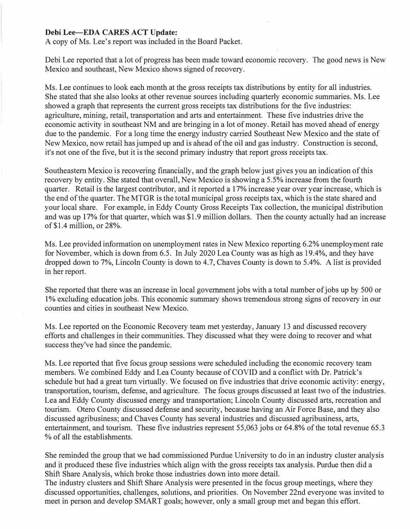#### **Debi Lee-EDA CARES ACT Update:**

A copy of Ms. Lee's report was included in the Board Packet.

Debi Lee reported that a lot of progress has been made toward economic recovery. The good news is New Mexico and southeast, New Mexico shows signed of recovery.

Ms. Lee continues to look each month at the gross receipts tax distributions by entity for all industries. She stated that she also looks at other revenue sources including quarterly economic summaries. Ms. Lee showed a graph that represents the current gross receipts tax distributions for the five industries: agriculture, mining, retail, transportation and arts and entertainment. These five industries drive the economic activity in southeast NM and are bringing in a lot of money. Retail has moved ahead of energy due to the pandemic. For a long time the energy industry carried Southeast New Mexico and the state of New Mexico, now retail has jumped up and is ahead of the oil and gas industry. Construction is second, it's not one of the five, but it is the second primary industry that report gross receipts tax.

Southeastern Mexico is recovering financially, and the graph below just gives you an indication of this recovery by entity. She stated that overall, New Mexico is showing a 5.5% increase from the fourth quarter. Retail is the largest contributor, and it reported a 17% increase year over year increase, which is the end of the quarter. The MTGR is the total municipal gross receipts tax, which is the state shared and your local share. For example, in Eddy County Gross Receipts Tax collection, the municipal distribution and was up 17% for that quarter, which was \$1. 9 million dollars. Then the county actually had an increase of \$1.4 million, or 28%.

Ms. Lee provided information on unemployment rates in New Mexico reporting 6.2% unemployment rate for November, which is down from 6.5. In July 2020 Lea County was as high as 19.4%, and they have dropped down to 7%, Lincoln County is down to 4.7, Chaves County is down to 5.4%. A list is provided in her report.

She reported that there was an increase in local government jobs with a total number of jobs up by 500 or 1 % excluding education jobs. This economic summary shows tremendous strong signs of recovery in our counties and cities in southeast New Mexico.

Ms. Lee reported on the Economic Recovery team met yesterday, January 13 and discussed recovery efforts and challenges in their communities. They discussed what they were doing to recover and what success they've had since the pandemic.

Ms. Lee reported that five focus group sessions were scheduled including the economic recovery team members. We combined Eddy and Lea County because of COVID and a conflict with Dr. Patrick's schedule but had a great tum virtually. We focused on five industries that drive economic activity: energy, transportation, tourism, defense, and agriculture. The focus groups discussed at least two of the industries. Lea and Eddy County discussed energy and transportation; Lincoln County discussed arts, recreation and tourism. Otero County discussed defense and security, because having an Air Force Base, and they also discussed agribusiness; and Chaves County has several industries and discussed agribusiness, arts, entertainment, and tourism. These five industries represent 55,063 jobs or 64.8% of the total revenue 65.3 % of all the establishments.

She reminded the group that we had commissioned Purdue University to do in an industry cluster analysis and it produced these five industries which align with the gross receipts tax analysis. Purdue then did a Shift Share Analysis, which broke those industries down into more detail.

The industry clusters and Shift Share Analysis were presented in the focus group meetings, where they discussed opportunities, challenges, solutions, and priorities. On November 22nd everyone was invited to meet in person and develop SMART goals; however, only a small group met and began this effort.